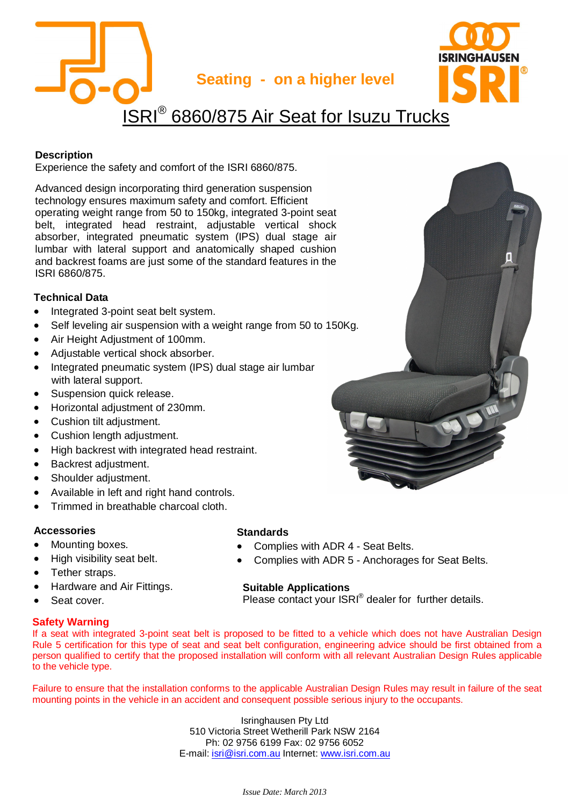

#### **Description**

Experience the safety and comfort of the ISRI 6860/875.

Advanced design incorporating third generation suspension technology ensures maximum safety and comfort. Efficient operating weight range from 50 to 150kg, integrated 3-point seat belt, integrated head restraint, adjustable vertical shock absorber, integrated pneumatic system (IPS) dual stage air lumbar with lateral support and anatomically shaped cushion and backrest foams are just some of the standard features in the ISRI 6860/875.

## **Technical Data**

- Integrated 3-point seat belt system.
- Self leveling air suspension with a weight range from 50 to 150Kg.
- Air Height Adjustment of 100mm.
- Adjustable vertical shock absorber.
- Integrated pneumatic system (IPS) dual stage air lumbar with lateral support.
- Suspension quick release.
- Horizontal adjustment of 230mm.
- Cushion tilt adjustment.
- Cushion length adjustment.
- High backrest with integrated head restraint.
- Backrest adjustment.
- Shoulder adjustment.
- Available in left and right hand controls.
- Trimmed in breathable charcoal cloth.

# **Accessories**

- Mounting boxes.
- High visibility seat belt.
- Tether straps.
- x Hardware and Air Fittings.
- Seat cover.

# **Safety Warning**

#### **Standards**

- Complies with ADR 4 Seat Belts.
- Complies with ADR 5 Anchorages for Seat Belts.

# **Suitable Applications**

Please contact your ISRI® dealer for further details.

If a seat with integrated 3-point seat belt is proposed to be fitted to a vehicle which does not have Australian Design Rule 5 certification for this type of seat and seat belt configuration, engineering advice should be first obtained from a person qualified to certify that the proposed installation will conform with all relevant Australian Design Rules applicable to the vehicle type.

Failure to ensure that the installation conforms to the applicable Australian Design Rules may result in failure of the seat mounting points in the vehicle in an accident and consequent possible serious injury to the occupants.

> Isringhausen Pty Ltd 510 Victoria Street Wetherill Park NSW 2164 Ph: 02 9756 6199 Fax: 02 9756 6052 E-mail: isri@isri.com.au Internet: www.isri.com.au